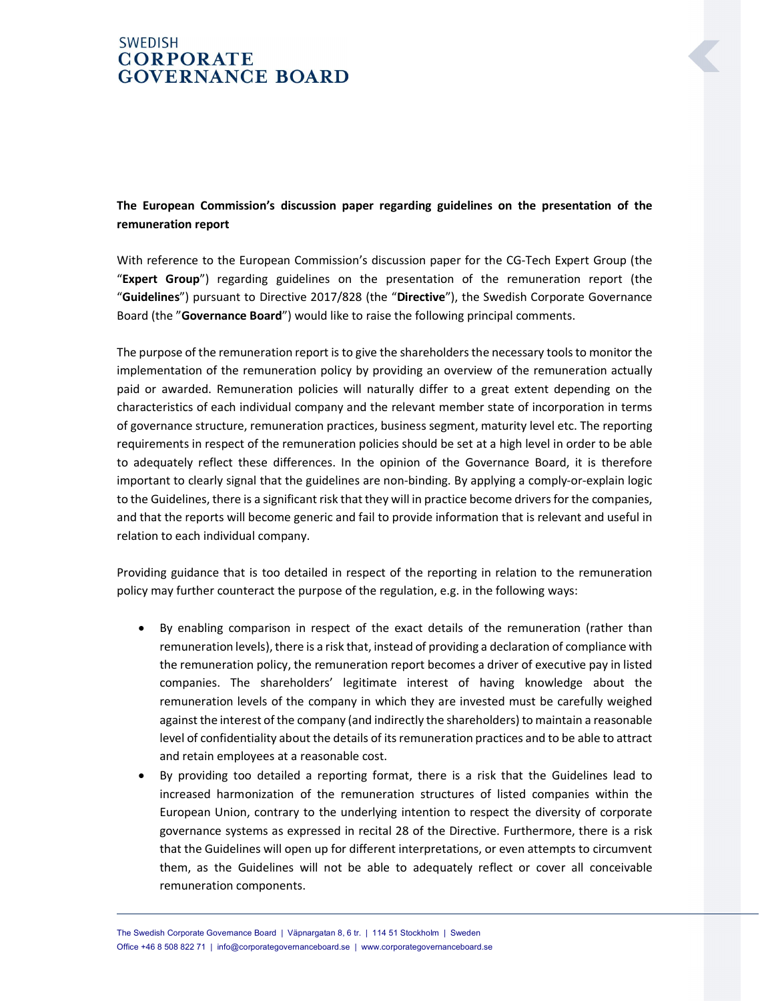## **SWEDISH CORPORATE GOVERNANCE BOARD**

The European Commission's discussion paper regarding guidelines on the presentation of the remuneration report

With reference to the European Commission's discussion paper for the CG-Tech Expert Group (the "Expert Group") regarding guidelines on the presentation of the remuneration report (the "Guidelines") pursuant to Directive 2017/828 (the "Directive"), the Swedish Corporate Governance Board (the "Governance Board") would like to raise the following principal comments.

The purpose of the remuneration report is to give the shareholders the necessary tools to monitor the implementation of the remuneration policy by providing an overview of the remuneration actually paid or awarded. Remuneration policies will naturally differ to a great extent depending on the characteristics of each individual company and the relevant member state of incorporation in terms of governance structure, remuneration practices, business segment, maturity level etc. The reporting requirements in respect of the remuneration policies should be set at a high level in order to be able to adequately reflect these differences. In the opinion of the Governance Board, it is therefore important to clearly signal that the guidelines are non-binding. By applying a comply-or-explain logic to the Guidelines, there is a significant risk that they will in practice become drivers for the companies, and that the reports will become generic and fail to provide information that is relevant and useful in relation to each individual company.

Providing guidance that is too detailed in respect of the reporting in relation to the remuneration policy may further counteract the purpose of the regulation, e.g. in the following ways:

- By enabling comparison in respect of the exact details of the remuneration (rather than remuneration levels), there is a risk that, instead of providing a declaration of compliance with the remuneration policy, the remuneration report becomes a driver of executive pay in listed companies. The shareholders' legitimate interest of having knowledge about the remuneration levels of the company in which they are invested must be carefully weighed against the interest of the company (and indirectly the shareholders) to maintain a reasonable level of confidentiality about the details of its remuneration practices and to be able to attract and retain employees at a reasonable cost.
- By providing too detailed a reporting format, there is a risk that the Guidelines lead to increased harmonization of the remuneration structures of listed companies within the European Union, contrary to the underlying intention to respect the diversity of corporate governance systems as expressed in recital 28 of the Directive. Furthermore, there is a risk that the Guidelines will open up for different interpretations, or even attempts to circumvent them, as the Guidelines will not be able to adequately reflect or cover all conceivable remuneration components.